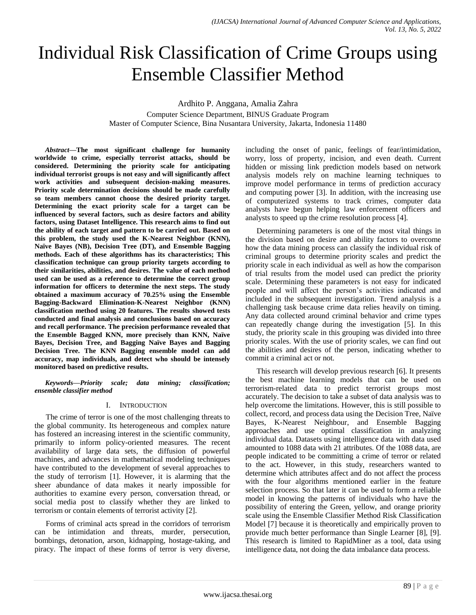# Individual Risk Classification of Crime Groups using Ensemble Classifier Method

Ardhito P. Anggana, Amalia Zahra

Computer Science Department, BINUS Graduate Program Master of Computer Science, Bina Nusantara University, Jakarta, Indonesia 11480

*Abstract***—The most significant challenge for humanity worldwide to crime, especially terrorist attacks, should be considered. Determining the priority scale for anticipating individual terrorist groups is not easy and will significantly affect work activities and subsequent decision-making measures. Priority scale determination decisions should be made carefully so team members cannot choose the desired priority target. Determining the exact priority scale for a target can be influenced by several factors, such as desire factors and ability factors, using Dataset Intelligence. This research aims to find out the ability of each target and pattern to be carried out. Based on this problem, the study used the K-Nearest Neighbor (KNN), Naïve Bayes (NB), Decision Tree (DT), and Ensemble Bagging methods. Each of these algorithms has its characteristics; This classification technique can group priority targets according to their similarities, abilities, and desires. The value of each method used can be used as a reference to determine the correct group information for officers to determine the next steps. The study obtained a maximum accuracy of 70.25% using the Ensemble Bagging-Backward Elimination-K-Nearest Neighbor (KNN) classification method using 20 features. The results showed tests conducted and final analysis and conclusions based on accuracy and recall performance. The precision performance revealed that the Ensemble Bagged KNN, more precisely than KNN, Naïve Bayes, Decision Tree, and Bagging Naïve Bayes and Bagging Decision Tree. The KNN Bagging ensemble model can add accuracy, map individuals, and detect who should be intensely monitored based on predictive results.**

*Keywords—Priority scale; data mining; classification; ensemble classifier method*

## I. INTRODUCTION

The crime of terror is one of the most challenging threats to the global community. Its heterogeneous and complex nature has fostered an increasing interest in the scientific community, primarily to inform policy-oriented measures. The recent availability of large data sets, the diffusion of powerful machines, and advances in mathematical modeling techniques have contributed to the development of several approaches to the study of terrorism [1]. However, it is alarming that the sheer abundance of data makes it nearly impossible for authorities to examine every person, conversation thread, or social media post to classify whether they are linked to terrorism or contain elements of terrorist activity [2].

Forms of criminal acts spread in the corridors of terrorism can be intimidation and threats, murder, persecution, bombings, detonation, arson, kidnapping, hostage-taking, and piracy. The impact of these forms of terror is very diverse, including the onset of panic, feelings of fear/intimidation, worry, loss of property, incision, and even death. Current hidden or missing link prediction models based on network analysis models rely on machine learning techniques to improve model performance in terms of prediction accuracy and computing power [3]. In addition, with the increasing use of computerized systems to track crimes, computer data analysts have begun helping law enforcement officers and analysts to speed up the crime resolution process [4].

Determining parameters is one of the most vital things in the division based on desire and ability factors to overcome how the data mining process can classify the individual risk of criminal groups to determine priority scales and predict the priority scale in each individual as well as how the comparison of trial results from the model used can predict the priority scale. Determining these parameters is not easy for indicated people and will affect the person's activities indicated and included in the subsequent investigation. Trend analysis is a challenging task because crime data relies heavily on timing. Any data collected around criminal behavior and crime types can repeatedly change during the investigation [5]. In this study, the priority scale in this grouping was divided into three priority scales. With the use of priority scales, we can find out the abilities and desires of the person, indicating whether to commit a criminal act or not.

This research will develop previous research [6]. It presents the best machine learning models that can be used on terrorism-related data to predict terrorist groups most accurately. The decision to take a subset of data analysis was to help overcome the limitations. However, this is still possible to collect, record, and process data using the Decision Tree, Naïve Bayes, K-Nearest Neighbour, and Ensemble Bagging approaches and use optimal classification in analyzing individual data. Datasets using intelligence data with data used amounted to 1088 data with 21 attributes. Of the 1088 data, are people indicated to be committing a crime of terror or related to the act. However, in this study, researchers wanted to determine which attributes affect and do not affect the process with the four algorithms mentioned earlier in the feature selection process. So that later it can be used to form a reliable model in knowing the patterns of individuals who have the possibility of entering the Green, yellow, and orange priority scale using the Ensemble Classifier Method Risk Classification Model [7] because it is theoretically and empirically proven to provide much better performance than Single Learner [8], [9]. This research is limited to RapidMiner as a tool, data using intelligence data, not doing the data imbalance data process.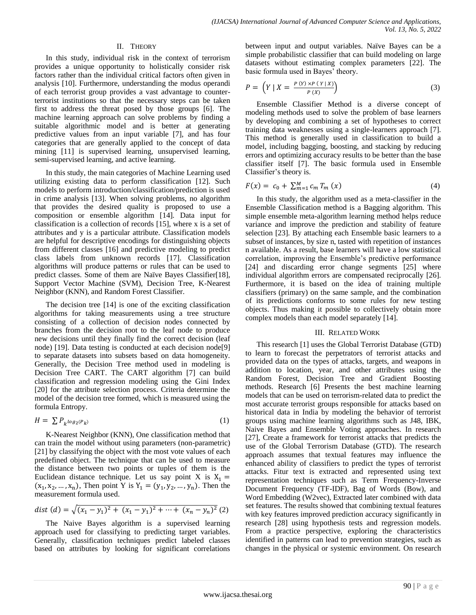# II. THEORY

In this study, individual risk in the context of terrorism provides a unique opportunity to holistically consider risk factors rather than the individual critical factors often given in analysis [10]. Furthermore, understanding the modus operandi of each terrorist group provides a vast advantage to counterterrorist institutions so that the necessary steps can be taken first to address the threat posed by those groups [6]. The machine learning approach can solve problems by finding a suitable algorithmic model and is better at generating predictive values from an input variable [7], and has four categories that are generally applied to the concept of data mining [11] is supervised learning, unsupervised learning, semi-supervised learning, and active learning.

In this study, the main categories of Machine Learning used utilizing existing data to perform classification [12]. Such models to perform introduction/classification/prediction is used in crime analysis [13]. When solving problems, no algorithm that provides the desired quality is proposed to use a composition or ensemble algorithm [14]*.* Data input for classification is a collection of records [15], where x is a set of attributes and y is a particular attribute. Classification models are helpful for descriptive encodings for distinguishing objects from different classes [16] and predictive modeling to predict class labels from unknown records [17]. Classification algorithms will produce patterns or rules that can be used to predict classes. Some of them are Naïve Bayes Classifier[18]*,*  Support Vector Machine (SVM), Decision Tree, K-Nearest Neighbor (KNN), and Random Forest Classifier.

The decision tree [14] is one of the exciting classification algorithms for taking measurements using a tree structure consisting of a collection of decision nodes connected by branches from the decision root to the leaf node to produce new decisions until they finally find the correct decision (leaf node) [19]. Data testing is conducted at each decision node[9] to separate datasets into subsets based on data homogeneity. Generally, the Decision Tree method used in modeling is Decision Tree CART. The CART algorithm [7] can build classification and regression modeling using the Gini Index [20] for the attribute selection process. Criteria determine the model of the decision tree formed, which is measured using the formula Entropy.

$$
H = \sum P_{k} \log_2(P_k) \tag{1}
$$

K-Nearest Neighbor (KNN), One classification method that can train the model without using parameters (non-parametric) [21] by classifying the object with the most vote values of each predefined object. The technique that can be used to measure the distance between two points or tuples of them is the Euclidean distance technique. Let us say point X is  $X_1 =$  $(x_1, x_2, ..., x_n)$ , Then point Y is  $Y_1 = (y_1, y_2, ..., y_n)$ . Then the measurement formula used.

$$
dist (d) = \sqrt{(x_1 - y_1)^2 + (x_1 - y_1)^2 + \dots + (x_n - y_n)^2}
$$
 (2)

The Naive Bayes algorithm is a supervised learning approach used for classifying to predicting target variables. Generally, classification techniques predict labeled classes based on attributes by looking for significant correlations between input and output variables. Naïve Bayes can be a simple probabilistic classifier that can build modeling on large datasets without estimating complex parameters [22]. The basic formula used in Bayes' theory.

$$
P = \left(Y \mid X = \frac{P(Y) \times P(Y \mid X)}{P(X)}\right) \tag{3}
$$

Ensemble Classifier Method is a diverse concept of modeling methods used to solve the problem of base learners by developing and combining a set of hypotheses to correct training data weaknesses using a single-learners approach [7]. This method is generally used in classification to build a model, including bagging, boosting, and stacking by reducing errors and optimizing accuracy results to be better than the base classifier itself [7]. The basic formula used in Ensemble Classifier's theory is.

$$
F(x) = c_0 + \sum_{m=1}^{M} c_m T_m(x)
$$
 (4)

In this study, the algorithm used as a meta-classifier in the Ensemble Classification method is a Bagging algorithm. This simple ensemble meta-algorithm learning method helps reduce variance and improve the prediction and stability of feature selection [23]. By attaching each Ensemble basic learners to a subset of instances, by size n, tasted with repetition of instances n available. As a result, base learners will have a low statistical correlation, improving the Ensemble's predictive performance [24] and discarding error change segments [25] where individual algorithm errors are compensated reciprocally [26]. Furthermore, it is based on the idea of training multiple classifiers (primary) on the same sample, and the combination of its predictions conforms to some rules for new testing objects. Thus making it possible to collectively obtain more complex models than each model separately [14].

## III. RELATED WORK

This research [1] uses the Global Terrorist Database (GTD) to learn to forecast the perpetrators of terrorist attacks and provided data on the types of attacks, targets, and weapons in addition to location, year, and other attributes using the Random Forest, Decision Tree and Gradient Boosting methods. Research [6] Presents the best machine learning models that can be used on terrorism-related data to predict the most accurate terrorist groups responsible for attacks based on historical data in India by modeling the behavior of terrorist groups using machine learning algorithms such as J48, IBK, Naive Bayes and Ensemble Voting approaches. In research [27], Create a framework for terrorist attacks that predicts the use of the Global Terrorism Database (GTD). The research approach assumes that textual features may influence the enhanced ability of classifiers to predict the types of terrorist attacks. Fitur text is extracted and represented using text representation techniques such as Term Frequency-Inverse Document Frequency (TF-IDF), Bag of Words (Bow), and Word Embedding (W2vec), Extracted later combined with data set features. The results showed that combining textual features with key features improved prediction accuracy significantly in research [28] using hypothesis tests and regression models. From a practice perspective, exploring the characteristics identified in patterns can lead to prevention strategies, such as changes in the physical or systemic environment. On research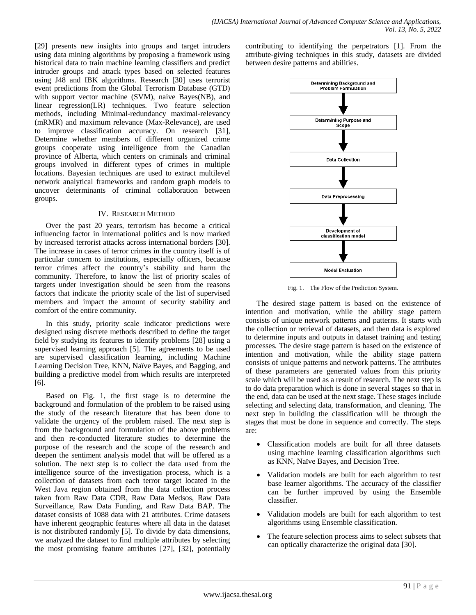[29] presents new insights into groups and target intruders using data mining algorithms by proposing a framework using historical data to train machine learning classifiers and predict intruder groups and attack types based on selected features using J48 and IBK algorithms. Research [30] uses terrorist event predictions from the Global Terrorism Database (GTD) with support vector machine (SVM), naive Bayes(NB), and linear regression(LR) techniques. Two feature selection methods, including Minimal-redundancy maximal-relevancy (mRMR) and maximum relevance (Max-Relevance), are used to improve classification accuracy. On research [31], Determine whether members of different organized crime groups cooperate using intelligence from the Canadian province of Alberta, which centers on criminals and criminal groups involved in different types of crimes in multiple locations. Bayesian techniques are used to extract multilevel network analytical frameworks and random graph models to uncover determinants of criminal collaboration between groups.

## IV. RESEARCH METHOD

Over the past 20 years, terrorism has become a critical influencing factor in international politics and is now marked by increased terrorist attacks across international borders [30]. The increase in cases of terror crimes in the country itself is of particular concern to institutions, especially officers, because terror crimes affect the country's stability and harm the community. Therefore, to know the list of priority scales of targets under investigation should be seen from the reasons factors that indicate the priority scale of the list of supervised members and impact the amount of security stability and comfort of the entire community.

In this study, priority scale indicator predictions were designed using discrete methods described to define the target field by studying its features to identify problems [28] using a supervised learning approach [5]. The agreements to be used are supervised classification learning, including Machine Learning Decision Tree, KNN, Naïve Bayes, and Bagging, and building a predictive model from which results are interpreted [6].

Based on Fig. 1, the first stage is to determine the background and formulation of the problem to be raised using the study of the research literature that has been done to validate the urgency of the problem raised. The next step is from the background and formulation of the above problems and then re-conducted literature studies to determine the purpose of the research and the scope of the research and deepen the sentiment analysis model that will be offered as a solution. The next step is to collect the data used from the intelligence source of the investigation process, which is a collection of datasets from each terror target located in the West Java region obtained from the data collection process taken from Raw Data CDR, Raw Data Medsos, Raw Data Surveillance, Raw Data Funding, and Raw Data BAP. The dataset consists of 1088 data with 21 attributes. Crime datasets have inherent geographic features where all data in the dataset is not distributed randomly [5]. To divide by data dimensions, we analyzed the dataset to find multiple attributes by selecting the most promising feature attributes [27], [32], potentially

contributing to identifying the perpetrators [1]. From the attribute-giving techniques in this study, datasets are divided between desire patterns and abilities.



Fig. 1. The Flow of the Prediction System.

The desired stage pattern is based on the existence of intention and motivation, while the ability stage pattern consists of unique network patterns and patterns. It starts with the collection or retrieval of datasets, and then data is explored to determine inputs and outputs in dataset training and testing processes. The desire stage pattern is based on the existence of intention and motivation, while the ability stage pattern consists of unique patterns and network patterns. The attributes of these parameters are generated values from this priority scale which will be used as a result of research. The next step is to do data preparation which is done in several stages so that in the end, data can be used at the next stage. These stages include selecting and selecting data, transformation, and cleaning. The next step in building the classification will be through the stages that must be done in sequence and correctly. The steps are:

- Classification models are built for all three datasets using machine learning classification algorithms such as KNN, Naïve Bayes, and Decision Tree.
- Validation models are built for each algorithm to test base learner algorithms. The accuracy of the classifier can be further improved by using the Ensemble classifier.
- Validation models are built for each algorithm to test algorithms using Ensemble classification.
- The feature selection process aims to select subsets that can optically characterize the original data [30].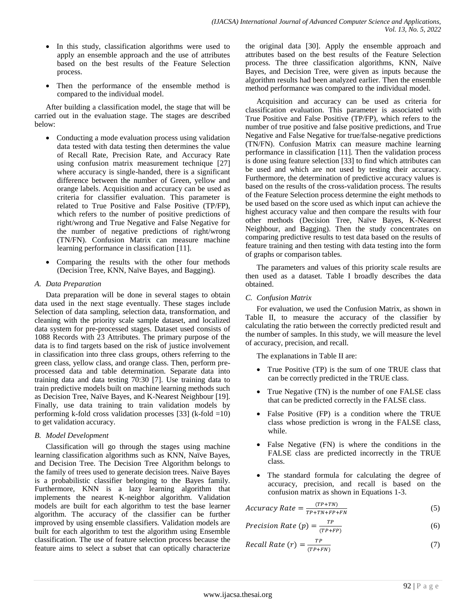- In this study, classification algorithms were used to apply an ensemble approach and the use of attributes based on the best results of the Feature Selection process.
- Then the performance of the ensemble method is compared to the individual model.

After building a classification model, the stage that will be carried out in the evaluation stage. The stages are described below:

- Conducting a mode evaluation process using validation data tested with data testing then determines the value of Recall Rate, Precision Rate, and Accuracy Rate using confusion matrix measurement technique [27] where accuracy is single-handed, there is a significant difference between the number of Green, yellow and orange labels. Acquisition and accuracy can be used as criteria for classifier evaluation. This parameter is related to True Positive and False Positive (TP/FP), which refers to the number of positive predictions of right/wrong and True Negative and False Negative for the number of negative predictions of right/wrong (TN/FN). Confusion Matrix can measure machine learning performance in classification [11].
- Comparing the results with the other four methods (Decision Tree, KNN, Naïve Bayes, and Bagging).

# *A. Data Preparation*

Data preparation will be done in several stages to obtain data used in the next stage eventually. These stages include Selection of data sampling, selection data, transformation, and cleaning with the priority scale sample dataset, and localized data system for pre-processed stages. Dataset used consists of 1088 Records with 23 Attributes. The primary purpose of the data is to find targets based on the risk of justice involvement in classification into three class groups, others referring to the green class, yellow class, and orange class. Then, perform preprocessed data and table determination. Separate data into training data and data testing 70:30 [7]. Use training data to train predictive models built on machine learning methods such as Decision Tree, Naïve Bayes, and K-Nearest Neighbour [19]. Finally, use data training to train validation models by performing k-fold cross validation processes [33] (k-fold =10) to get validation accuracy.

# *B. Model Development*

Classification will go through the stages using machine learning classification algorithms such as KNN, Naïve Bayes, and Decision Tree. The Decision Tree Algorithm belongs to the family of trees used to generate decision trees. Naive Bayes is a probabilistic classifier belonging to the Bayes family. Furthermore, KNN is a lazy learning algorithm that implements the nearest K-neighbor algorithm. Validation models are built for each algorithm to test the base learner algorithm. The accuracy of the classifier can be further improved by using ensemble classifiers. Validation models are built for each algorithm to test the algorithm using Ensemble classification. The use of feature selection process because the feature aims to select a subset that can optically characterize

the original data [30]. Apply the ensemble approach and attributes based on the best results of the Feature Selection process. The three classification algorithms, KNN, Naïve Bayes, and Decision Tree, were given as inputs because the algorithm results had been analyzed earlier. Then the ensemble method performance was compared to the individual model.

Acquisition and accuracy can be used as criteria for classification evaluation. This parameter is associated with True Positive and False Positive (TP/FP), which refers to the number of true positive and false positive predictions, and True Negative and False Negative for true/false-negative predictions (TN/FN). Confusion Matrix can measure machine learning performance in classification [11]. Then the validation process is done using feature selection [33] to find which attributes can be used and which are not used by testing their accuracy. Furthermore, the determination of predictive accuracy values is based on the results of the cross-validation process. The results of the Feature Selection process determine the eight methods to be used based on the score used as which input can achieve the highest accuracy value and then compare the results with four other methods (Decision Tree, Naïve Bayes, K-Nearest Neighbour, and Bagging). Then the study concentrates on comparing predictive results to test data based on the results of feature training and then testing with data testing into the form of graphs or comparison tables.

The parameters and values of this priority scale results are then used as a dataset. Table I broadly describes the data obtained.

# *C. Confusion Matrix*

For evaluation, we used the Confusion Matrix, as shown in Table II, to measure the accuracy of the classifier by calculating the ratio between the correctly predicted result and the number of samples. In this study, we will measure the level of accuracy, precision, and recall.

The explanations in Table II are:

- True Positive (TP) is the sum of one TRUE class that can be correctly predicted in the TRUE class.
- True Negative (TN) is the number of one FALSE class that can be predicted correctly in the FALSE class.
- False Positive (FP) is a condition where the TRUE class whose prediction is wrong in the FALSE class, while.
- False Negative (FN) is where the conditions in the FALSE class are predicted incorrectly in the TRUE class.
- The standard formula for calculating the degree of accuracy, precision, and recall is based on the confusion matrix as shown in Equations 1-3.

$$
Accuracy Rate = \frac{(TP+TN)}{TP+TN+FP+FN}
$$
 (5)

$$
Precision Rate (p) = \frac{TP}{(TP+FP)}
$$
 (6)

Recall Rate (r) = 
$$
\frac{TP}{(TP+FN)}
$$
 (7)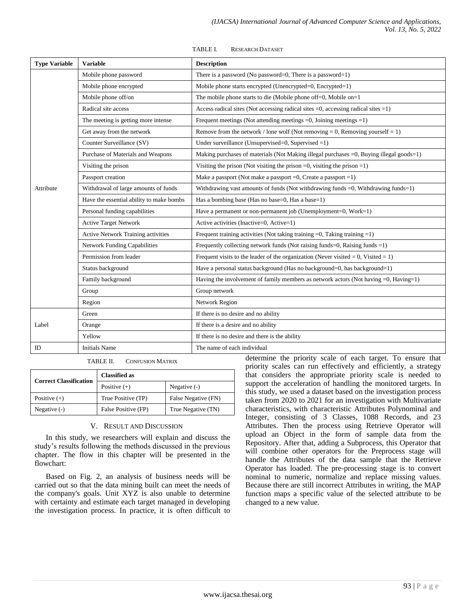| <b>Type Variable</b> | <b>Variable</b>                          | <b>Description</b>                                                                             |  |  |  |  |  |
|----------------------|------------------------------------------|------------------------------------------------------------------------------------------------|--|--|--|--|--|
|                      | Mobile phone password                    | There is a password (No password=0, There is a password=1)                                     |  |  |  |  |  |
|                      | Mobile phone encrypted                   | Mobile phone starts encrypted (Unencrypted=0, Encrypted=1)                                     |  |  |  |  |  |
|                      | Mobile phone off/on                      | The mobile phone starts to die (Mobile phone off=0, Mobile on=1                                |  |  |  |  |  |
|                      | Radical site access                      | Access radical sites (Not accessing radical sites $=0$ , accessing radical sites $=1$ )        |  |  |  |  |  |
|                      | The meeting is getting more intense      | Frequent meetings (Not attending meetings $=0$ , Joining meetings $=1$ )                       |  |  |  |  |  |
|                      | Get away from the network                | Remove from the network / lone wolf (Not removing $= 0$ , Removing yourself $= 1$ )            |  |  |  |  |  |
|                      | Counter Surveillance (SV)                | Under surveillance (Unsupervised=0, Supervised =1)                                             |  |  |  |  |  |
|                      | Purchase of Materials and Weapons        | Making purchases of materials (Not Making illegal purchases $=0$ , Buying illegal goods $=1$ ) |  |  |  |  |  |
|                      | Visiting the prison                      | Visiting the prison (Not visiting the prison $=0$ , visiting the prison $=1$ )                 |  |  |  |  |  |
| Attribute            | Passport creation                        | Make a passport (Not make a passport $=0$ , Create a passport $=1$ )                           |  |  |  |  |  |
|                      | Withdrawal of large amounts of funds     | Withdrawing vast amounts of funds (Not withdrawing funds =0, Withdrawing funds=1)              |  |  |  |  |  |
|                      | Have the essential ability to make bombs | Has a bombing base (Has no base=0, Has a base=1)                                               |  |  |  |  |  |
|                      | Personal funding capabilities            | Have a permanent or non-permanent job (Unemployment=0, Work=1)                                 |  |  |  |  |  |
|                      | <b>Active Target Network</b>             | Active activities (Inactive=0, Active=1)                                                       |  |  |  |  |  |
|                      | Active Network Training activities       | Frequent training activities (Not taking training $=0$ , Taking training $=1$ )                |  |  |  |  |  |
|                      | <b>Network Funding Capabilities</b>      | Frequently collecting network funds (Not raising funds=0, Raising funds =1)                    |  |  |  |  |  |
|                      | Permission from leader                   | Frequent visits to the leader of the organization (Never visited $= 0$ , Visited $= 1$ )       |  |  |  |  |  |
|                      | Status background                        | Have a personal status background (Has no background=0, has background=1)                      |  |  |  |  |  |
|                      | Family background                        | Having the involvement of family members as network actors (Not having $=0$ , Having $=1$ )    |  |  |  |  |  |
|                      | Group                                    | Group network                                                                                  |  |  |  |  |  |
|                      | Region                                   | Network Region                                                                                 |  |  |  |  |  |
|                      | Green                                    | If there is no desire and no ability                                                           |  |  |  |  |  |
| Label                | Orange                                   | If there is a desire and no ability                                                            |  |  |  |  |  |
|                      | Yellow                                   | If there is no desire and there is the ability                                                 |  |  |  |  |  |
| ID                   | <b>Initials Name</b>                     | The name of each individual                                                                    |  |  |  |  |  |

TABLE I. RESEARCH DATASET

TABLE II. CONFUSION MATRIX

| <b>Correct Classification</b> | <b>Classified as</b> |                     |  |  |  |
|-------------------------------|----------------------|---------------------|--|--|--|
|                               | Positive $(+)$       | Negative $(-)$      |  |  |  |
| Positive $(+)$                | True Positive (TP)   | False Negative (FN) |  |  |  |
| Negative $(-)$                | False Positive (FP)  | True Negative (TN)  |  |  |  |

## V. RESULT AND DISCUSSION

In this study, we researchers will explain and discuss the study's results following the methods discussed in the previous chapter. The flow in this chapter will be presented in the flowchart:

Based on Fig. 2, an analysis of business needs will be carried out so that the data mining built can meet the needs of the company's goals. Unit XYZ is also unable to determine with certainty and estimate each target managed in developing the investigation process. In practice, it is often difficult to determine the priority scale of each target. To ensure that priority scales can run effectively and efficiently, a strategy that considers the appropriate priority scale is needed to support the acceleration of handling the monitored targets. In this study, we used a dataset based on the investigation process taken from 2020 to 2021 for an investigation with Multivariate characteristics, with characteristic Attributes Polynominal and Integer, consisting of 3 Classes, 1088 Records, and 23 Attributes. Then the process using Retrieve Operator will upload an Object in the form of sample data from the Repository. After that, adding a Subprocess, this Operator that will combine other operators for the Preprocess stage will handle the Attributes of the data sample that the Retrieve Operator has loaded. The pre-processing stage is to convert nominal to numeric, normalize and replace missing values. Because there are still incorrect Attributes in writing, the MAP function maps a specific value of the selected attribute to be changed to a new value.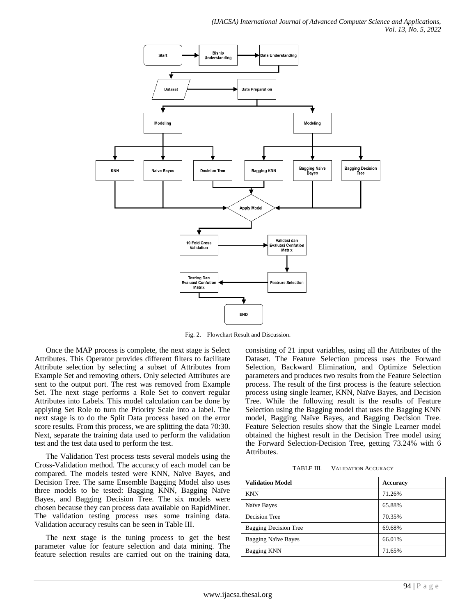

Fig. 2. Flowchart Result and Discussion.

Once the MAP process is complete, the next stage is Select Attributes. This Operator provides different filters to facilitate Attribute selection by selecting a subset of Attributes from Example Set and removing others. Only selected Attributes are sent to the output port. The rest was removed from Example Set. The next stage performs a Role Set to convert regular Attributes into Labels. This model calculation can be done by applying Set Role to turn the Priority Scale into a label. The next stage is to do the Split Data process based on the error score results. From this process, we are splitting the data 70:30. Next, separate the training data used to perform the validation test and the test data used to perform the test.

The Validation Test process tests several models using the Cross-Validation method. The accuracy of each model can be compared. The models tested were KNN, Naïve Bayes, and Decision Tree. The same Ensemble Bagging Model also uses three models to be tested: Bagging KNN, Bagging Naïve Bayes, and Bagging Decision Tree. The six models were chosen because they can process data available on RapidMiner. The validation testing process uses some training data. Validation accuracy results can be seen in Table III.

The next stage is the tuning process to get the best parameter value for feature selection and data mining. The feature selection results are carried out on the training data,

consisting of 21 input variables, using all the Attributes of the Dataset. The Feature Selection process uses the Forward Selection, Backward Elimination, and Optimize Selection parameters and produces two results from the Feature Selection process. The result of the first process is the feature selection process using single learner, KNN, Naïve Bayes, and Decision Tree. While the following result is the results of Feature Selection using the Bagging model that uses the Bagging KNN model, Bagging Naïve Bayes, and Bagging Decision Tree. Feature Selection results show that the Single Learner model obtained the highest result in the Decision Tree model using the Forward Selection-Decision Tree, getting 73.24% with 6 **Attributes** 

TABLE III. VALIDATION ACCURACY

| <b>Validation Model</b>      | <b>Accuracy</b> |
|------------------------------|-----------------|
| <b>KNN</b>                   | 71.26%          |
| Naïve Bayes                  | 65.88%          |
| Decision Tree                | 70.35%          |
| <b>Bagging Decision Tree</b> | 69.68%          |
| <b>Bagging Naïve Bayes</b>   | 66.01%          |
| <b>Bagging KNN</b>           | 71.65%          |
|                              |                 |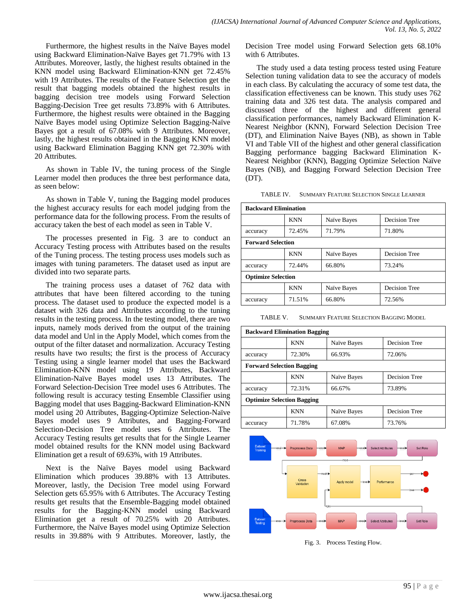Furthermore, the highest results in the Naïve Bayes model using Backward Elimination-Naïve Bayes get 71.79% with 13 Attributes. Moreover, lastly, the highest results obtained in the KNN model using Backward Elimination-KNN get 72.45% with 19 Attributes. The results of the Feature Selection get the result that bagging models obtained the highest results in bagging decision tree models using Forward Selection Bagging-Decision Tree get results 73.89% with 6 Attributes. Furthermore, the highest results were obtained in the Bagging Naïve Bayes model using Optimize Selection Bagging-Naïve Bayes got a result of 67.08% with 9 Attributes. Moreover, lastly, the highest results obtained in the Bagging KNN model using Backward Elimination Bagging KNN get 72.30% with 20 Attributes.

As shown in Table IV, the tuning process of the Single Learner model then produces the three best performance data, as seen below:

As shown in Table V, tuning the Bagging model produces the highest accuracy results for each model judging from the performance data for the following process. From the results of accuracy taken the best of each model as seen in Table V.

The processes presented in Fig. 3 are to conduct an Accuracy Testing process with Attributes based on the results of the Tuning process. The testing process uses models such as images with tuning parameters. The dataset used as input are divided into two separate parts.

The training process uses a dataset of 762 data with attributes that have been filtered according to the tuning process. The dataset used to produce the expected model is a dataset with 326 data and Attributes according to the tuning results in the testing process. In the testing model, there are two inputs, namely mods derived from the output of the training data model and Unl in the Apply Model, which comes from the output of the filter dataset and normalization. Accuracy Testing results have two results; the first is the process of Accuracy Testing using a single learner model that uses the Backward Elimination-KNN model using 19 Attributes, Backward Elimination-Naïve Bayes model uses 13 Attributes. The Forward Selection-Decision Tree model uses 6 Attributes. The following result is accuracy testing Ensemble Classifier using Bagging model that uses Bagging-Backward Elimination-KNN model using 20 Attributes, Bagging-Optimize Selection-Naïve Bayes model uses 9 Attributes, and Bagging-Forward Selection-Decision Tree model uses 6 Attributes. The Accuracy Testing results get results that for the Single Learner model obtained results for the KNN model using Backward Elimination get a result of 69.63%, with 19 Attributes.

Next is the Naïve Bayes model using Backward Elimination which produces 39.88% with 13 Attributes. Moreover, lastly, the Decision Tree model using Forward Selection gets 65.95% with 6 Attributes. The Accuracy Testing results get results that the Ensemble-Bagging model obtained results for the Bagging-KNN model using Backward Elimination get a result of 70.25% with 20 Attributes. Furthermore, the Naïve Bayes model using Optimize Selection results in 39.88% with 9 Attributes. Moreover, lastly, the

Decision Tree model using Forward Selection gets 68.10% with 6 Attributes.

The study used a data testing process tested using Feature Selection tuning validation data to see the accuracy of models in each class. By calculating the accuracy of some test data, the classification effectiveness can be known. This study uses 762 training data and 326 test data. The analysis compared and discussed three of the highest and different general classification performances, namely Backward Elimination K-Nearest Neighbor (KNN), Forward Selection Decision Tree (DT), and Elimination Naive Bayes (NB), as shown in Table VI and Table VII of the highest and other general classification Bagging performance bagging Backward Elimination K-Nearest Neighbor (KNN), Bagging Optimize Selection Naïve Bayes (NB), and Bagging Forward Selection Decision Tree (DT).

TABLE IV. SUMMARY FEATURE SELECTION SINGLE LEARNER

| <b>Backward Elimination</b> |                           |             |               |  |  |  |  |  |
|-----------------------------|---------------------------|-------------|---------------|--|--|--|--|--|
|                             | <b>KNN</b>                | Naïve Bayes | Decision Tree |  |  |  |  |  |
| 72.45%<br>accuracy          |                           | 71.79%      | 71.80%        |  |  |  |  |  |
| <b>Forward Selection</b>    |                           |             |               |  |  |  |  |  |
|                             | <b>KNN</b><br>Naïve Bayes |             | Decision Tree |  |  |  |  |  |
| 72.44%<br>accuracy          |                           | 66.80%      | 73.24%        |  |  |  |  |  |
|                             | <b>Optimize Selection</b> |             |               |  |  |  |  |  |
| <b>KNN</b>                  |                           | Naïve Bayes | Decision Tree |  |  |  |  |  |
| accuracy                    | 71.51%                    | 66.80%      | 72.56%        |  |  |  |  |  |

TABLE V. SUMMARY FEATURE SELECTION BAGGING MODEL

| <b>Backward Elimination Bagging</b> |                                   |                  |               |  |  |  |  |  |
|-------------------------------------|-----------------------------------|------------------|---------------|--|--|--|--|--|
|                                     | <b>KNN</b>                        | Naïve Bayes      | Decision Tree |  |  |  |  |  |
| accuracy                            | 72.30%                            | 72.06%<br>66.93% |               |  |  |  |  |  |
| <b>Forward Selection Bagging</b>    |                                   |                  |               |  |  |  |  |  |
|                                     | <b>KNN</b>                        | Naïve Bayes      | Decision Tree |  |  |  |  |  |
| accuracy                            | 72.31%                            | 66.67%           | 73.89%        |  |  |  |  |  |
|                                     | <b>Optimize Selection Bagging</b> |                  |               |  |  |  |  |  |
|                                     | <b>KNN</b>                        | Naïve Bayes      | Decision Tree |  |  |  |  |  |
| accuracy                            | 71.78%                            | 67.08%           | 73.76%        |  |  |  |  |  |



Fig. 3. Process Testing Flow.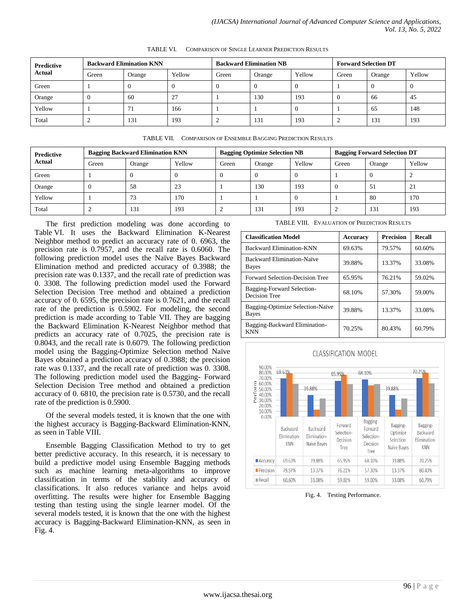| <b>Predictive</b><br><b>Actual</b> | <b>Backward Elimination KNN</b> |        |                      | <b>Backward Elimination NB</b> |        |        | <b>Forward Selection DT</b> |        |        |
|------------------------------------|---------------------------------|--------|----------------------|--------------------------------|--------|--------|-----------------------------|--------|--------|
|                                    | Green                           | Orange | Yellow               | Green                          | Orange | Yellow | Green                       | Orange | Yellow |
| Green                              |                                 | u      |                      |                                |        | v      |                             | 0      |        |
| Orange                             |                                 | 60     | $\mathcal{L}$<br>ا ک |                                | 130    | 193    |                             | 66     | 45     |
| Yellow                             |                                 | 71     | 166                  |                                |        | v      |                             | 65     | 148    |
| Total                              |                                 | 131    | 193                  |                                | 131    | 193    |                             | 131    | 193    |

TABLE VI. COMPARISON OF SINGLE LEARNER PREDICTION RESULTS

| TABLE VII. COMPARISON OF ENSEMBLE BAGGING PREDICTION RESULTS |
|--------------------------------------------------------------|
|                                                              |

| Predictive<br>Actual | <b>Bagging Backward Elimination KNN</b> |        |        | <b>Bagging Optimize Selection NB</b> |        |        | <b>Bagging Forward Selection DT</b> |        |            |
|----------------------|-----------------------------------------|--------|--------|--------------------------------------|--------|--------|-------------------------------------|--------|------------|
|                      | Green                                   | Orange | Yellow | Green                                | Orange | Yellow | Green                               | Orange | Yellow     |
| Green                |                                         | v      |        | v                                    |        |        |                                     |        |            |
| Orange               | А.                                      | 58     | 23     |                                      | 130    | 193    |                                     | 51     | $\angle 1$ |
| Yellow               |                                         | 73     | 170    |                                      |        |        |                                     | 80     | 170        |
| Total                |                                         | 131    | 193    | ∸                                    | 131    | 193    |                                     | 131    | 193        |

The first prediction modeling was done according to Table VI. It uses the Backward Elimination K-Nearest Neighbor method to predict an accuracy rate of 0. 6963, the precision rate is 0.7957, and the recall rate is 0.6060. The following prediction model uses the Naïve Bayes Backward Elimination method and predicted accuracy of 0.3988; the precision rate was 0.1337, and the recall rate of prediction was 0. 3308. The following prediction model used the Forward Selection Decision Tree method and obtained a prediction accuracy of 0. 6595, the precision rate is 0.7621, and the recall rate of the prediction is 0.5902. For modeling, the second prediction is made according to Table VII. They are bagging the Backward Elimination K-Nearest Neighbor method that predicts an accuracy rate of 0.7025, the precision rate is 0.8043, and the recall rate is 0.6079. The following prediction model using the Bagging-Optimize Selection method Naïve Bayes obtained a prediction accuracy of 0.3988; the precision rate was 0.1337, and the recall rate of prediction was 0. 3308. The following prediction model used the Bagging- Forward Selection Decision Tree method and obtained a prediction accuracy of 0. 6810, the precision rate is 0.5730, and the recall rate of the prediction is 0.5900.

Of the several models tested, it is known that the one with the highest accuracy is Bagging-Backward Elimination-KNN, as seen in Table VIII.

Ensemble Bagging Classification Method to try to get better predictive accuracy. In this research, it is necessary to build a predictive model using Ensemble Bagging methods such as machine learning meta-algorithms to improve classification in terms of the stability and accuracy of classifications. It also reduces variance and helps avoid overfitting. The results were higher for Ensemble Bagging testing than testing using the single learner model. Of the several models tested, it is known that the one with the highest accuracy is Bagging-Backward Elimination-KNN, as seen in Fig. 4.

TABLE VIII. EVALUATION OF PREDICTION RESULTS

| <b>Classification Model</b>                 | <b>Accuracy</b> | <b>Precision</b> | Recall |  |
|---------------------------------------------|-----------------|------------------|--------|--|
| Backward Elimination-KNN                    | 69.63%          | 79.57%           | 60.60% |  |
| Backward Elimination-Naïve<br>Bayes         | 39.88%          | 13.37%           | 33.08% |  |
| Forward Selection-Decision Tree             | 65.95%          | 76.21%           | 59.02% |  |
| Bagging-Forward Selection-<br>Decision Tree | 68.10%          | 57.30%           | 59.00% |  |
| Bagging-Optimize Selection-Naïve<br>Bayes   | 39.88%          | 13.37%           | 33.08% |  |
| Bagging-Backward Elimination-<br><b>KNN</b> | 70.25%          | 80.43%           | 60.79% |  |



Fig. 4. Testing Performance.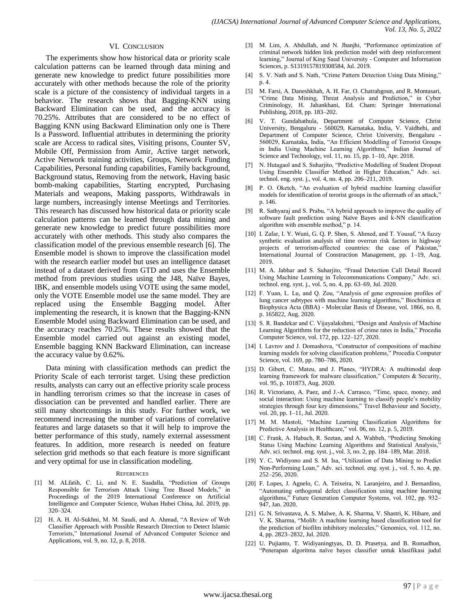#### VI. CONCLUSION

The experiments show how historical data or priority scale calculation patterns can be learned through data mining and generate new knowledge to predict future possibilities more accurately with other methods because the role of the priority scale is a picture of the consistency of individual targets in a behavior. The research shows that Bagging-KNN using Backward Elimination can be used, and the accuracy is 70.25%. Attributes that are considered to be no effect of Bagging KNN using Backward Elimination only one is There Is a Password. Influential attributes in determining the priority scale are Access to radical sites, Visiting prisons, Counter SV, Mobile Off, Permission from Amir, Active target network, Active Network training activities, Groups, Network Funding Capabilities, Personal funding capabilities, Family background, Background status, Removing from the network, Having basic bomb-making capabilities, Starting encrypted, Purchasing Materials and weapons, Making passports, Withdrawals in large numbers, increasingly intense Meetings and Territories. This research has discussed how historical data or priority scale calculation patterns can be learned through data mining and generate new knowledge to predict future possibilities more accurately with other methods. This study also compares the classification model of the previous ensemble research [6]. The Ensemble model is shown to improve the classification model with the research earlier model but uses an intelligence dataset instead of a dataset derived from GTD and uses the Ensemble method from previous studies using the J48, Naïve Bayes, IBK, and ensemble models using VOTE using the same model, only the VOTE Ensemble model use the same model. They are replaced using the Ensemble Bagging model. After implementing the research, it is known that the Bagging-KNN Ensemble Model using Backward Elimination can be used, and the accuracy reaches 70.25%. These results showed that the Ensemble model carried out against an existing model, Ensemble bagging KNN Backward Elimination, can increase the accuracy value by 0.62%.

Data mining with classification methods can predict the Priority Scale of each terrorist target. Using these prediction results, analysts can carry out an effective priority scale process in handling terrorism crimes so that the increase in cases of dissociation can be prevented and handled earlier. There are still many shortcomings in this study. For further work, we recommend increasing the number of variations of correlative features and large datasets so that it will help to improve the better performance of this study, namely external assessment features. In addition, more research is needed on feature selection grid methods so that each feature is more significant and very optimal for use in classification modeling.

#### **REFERENCES**

- [1] M. ALfatih, C. Li, and N. E. Saadalla, "Prediction of Groups Responsible for Terrorism Attack Using Tree Based Models," in Proceedings of the 2019 International Conference on Artificial Intelligence and Computer Science, Wuhan Hubei China, Jul. 2019, pp. 320–324.
- [2] H. A. H. Al-Sukhni, M. M. Saudi, and A. Ahmad, "A Review of Web Classifier Approach with Possible Research Direction to Detect Islamic Terrorists," International Journal of Advanced Computer Science and Applications, vol. 9, no. 12, p. 8, 2018.
- [3] M. Lim, A. Abdullah, and N. Jhanjhi, "Performance optimization of criminal network hidden link prediction model with deep reinforcement learning," Journal of King Saud University - Computer and Information Sciences, p. S1319157819308584, Jul. 2019.
- [4] S. V. Nath and S. Nath, "Crime Pattern Detection Using Data Mining," p. 4.
- [5] M. Farsi, A. Daneshkhah, A. H. Far, O. Chatrabgoun, and R. Montasari, "Crime Data Mining, Threat Analysis and Prediction," in Cyber Criminology, H. Jahankhani, Ed. Cham: Springer International Publishing, 2018, pp. 183–202.
- [6] V. T. Gundabathula, Department of Computer Science, Christ University, Bengaluru - 560029, Karnataka, India, V. Vaidhehi, and Department of Computer Science, Christ University, Bengaluru - 560029, Karnataka, India, "An Efficient Modelling of Terrorist Groups in India Using Machine Learning Algorithms," Indian Journal of Science and Technology, vol. 11, no. 15, pp. 1–10, Apr. 2018.
- [7] N. Hutagaol and S. Suharjito, "Predictive Modelling of Student Dropout Using Ensemble Classifier Method in Higher Education," Adv. sci. technol. eng. syst. j., vol. 4, no. 4, pp. 206–211, 2019.
- P. O. Oketch, "An evaluation of hybrid machine learning classifier models for identification of terorist groups in the aftermath of an attack," p. 146.
- [9] R. Sathyaraj and S. Prabu, "A hybrid approach to improve the quality of software fault prediction using Naïve Bayes and k-NN classification algorithm with ensemble method," p. 14.
- [10] I. Zafar, I. Y. Wuni, G. Q. P. Shen, S. Ahmed, and T. Yousaf, "A fuzzy synthetic evaluation analysis of time overrun risk factors in highway projects of terrorism-affected countries: the case of Pakistan," International Journal of Construction Management, pp. 1–19, Aug. 2019.
- [11] M. A. Jabbar and S. Suharjito, "Fraud Detection Call Detail Record Using Machine Learning in Telecommunications Company," Adv. sci. technol. eng. syst. j., vol. 5, no. 4, pp. 63–69, Jul. 2020.
- [12] F. Yuan, L. Lu, and Q. Zou, "Analysis of gene expression profiles of lung cancer subtypes with machine learning algorithms," Biochimica et Biophysica Acta (BBA) - Molecular Basis of Disease, vol. 1866, no. 8, p. 165822, Aug. 2020.
- [13] S. R. Bandekar and C. Vijayalakshmi, "Design and Analysis of Machine Learning Algorithms for the reduction of crime rates in India," Procedia Computer Science, vol. 172, pp. 122–127, 2020.
- [14] I. Lavrov and J. Domashova, "Constructor of compositions of machine learning models for solving classification problems," Procedia Computer Science, vol. 169, pp. 780–786, 2020.
- [15] D. Gibert, C. Mateu, and J. Planes, "HYDRA: A multimodal deep learning framework for malware classification," Computers & Security, vol. 95, p. 101873, Aug. 2020.
- [16] R. Victoriano, A. Paez, and J.-A. Carrasco, "Time, space, money, and social interaction: Using machine learning to classify people's mobility strategies through four key dimensions," Travel Behaviour and Society, vol. 20, pp. 1–11, Jul. 2020.
- [17] M. M. Mastoli, "Machine Learning Classification Algorithms for Predictive Analysis in Healthcare," vol. 06, no. 12, p. 5, 2019.
- [18] C. Frank, A. Habach, R. Seetan, and A. Wahbeh, "Predicting Smoking Status Using Machine Learning Algorithms and Statistical Analysis," Adv. sci. technol. eng. syst. j., vol. 3, no. 2, pp. 184–189, Mar. 2018.
- [19] Y. C. Widiyono and S. M. Isa, "Utilization of Data Mining to Predict Non-Performing Loan," Adv. sci. technol. eng. syst. j., vol. 5, no. 4, pp. 252–256, 2020.
- [20] F. Lopes, J. Agnelo, C. A. Teixeira, N. Laranjeiro, and J. Bernardino, "Automating orthogonal defect classification using machine learning algorithms," Future Generation Computer Systems, vol. 102, pp. 932– 947, Jan. 2020.
- [21] G. N. Srivastava, A. S. Malwe, A. K. Sharma, V. Shastri, K. Hibare, and V. K. Sharma, "Molib: A machine learning based classification tool for the prediction of biofilm inhibitory molecules," Genomics, vol. 112, no. 4, pp. 2823–2832, Jul. 2020.
- [22] U. Pujianto, T. Widiyaningtyas, D. D. Prasetya, and B. Romadhon, "Penerapan algoritma naïve bayes classifier untuk klasifikasi judul